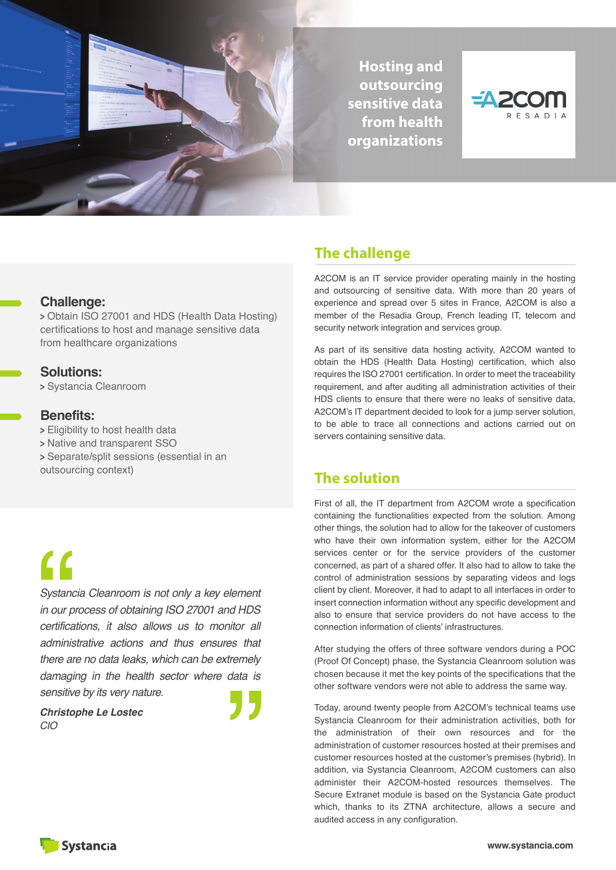

**Hosting and outsourcing sensitive data from health organizations**



#### **Challenge:**

**<sup>&</sup>gt;** Obtain ISO 27001 and HDS (Health Data Hosting) certifications to host and manage sensitive data from healthcare organizations

#### **Solutions:**

**<sup>&</sup>gt;** Systancia Cleanroom

#### **Benefits:**

**<sup>&</sup>gt;** Eligibility to host health data

- **<sup>&</sup>gt;** Native and transparent SSO
- **<sup>&</sup>gt;** Separate/split sessions (essential in an

outsourcing context)

# $\mathbf{C}$

*Systancia Cleanroom is not only a key element in our process of obtaining ISO 27001 and HDS certifications, it also allows us to monitor all administrative actions and thus ensures that there are no data leaks, which can be extremely damaging in the health sector where data is sensitive by its very nature.*

*Christophe Le Lostec CIO*

## **The challenge**

A2COM is an IT service provider operating mainly in the hosting and outsourcing of sensitive data. With more than 20 years of experience and spread over 5 sites in France, A2COM is also a member of the Resadia Group, French leading IT, telecom and security network integration and services group.

As part of its sensitive data hosting activity, A2COM wanted to obtain the HDS (Health Data Hosting) certification, which also requires the ISO 27001 certification. In order to meet the traceability requirement, and after auditing all administration activities of their HDS clients to ensure that there were no leaks of sensitive data, A2COM's IT department decided to look for a jump server solution, to be able to trace all connections and actions carried out on servers containing sensitive data.

## **The solution**

First of all, the IT department from A2COM wrote a specification containing the functionalities expected from the solution. Among other things, the solution had to allow for the takeover of customers who have their own information system, either for the A2COM services center or for the service providers of the customer concerned, as part of a shared offer. It also had to allow to take the control of administration sessions by separating videos and logs client by client. Moreover, it had to adapt to all interfaces in order to insert connection information without any specific development and also to ensure that service providers do not have access to the connection information of clients' infrastructures.

After studying the offers of three software vendors during a POC (Proof Of Concept) phase, the Systancia Cleanroom solution was chosen because it met the key points of the specifications that the other software vendors were not able to address the same way.

Today, around twenty people from A2COM's technical teams use Systancia Cleanroom for their administration activities, both for the administration of their own resources and for the administration of customer resources hosted at their premises and customer resources hosted at the customer's premises (hybrid). In addition, via Systancia Cleanroom, A2COM customers can also administer their A2COM-hosted resources themselves. The Secure Extranet module is based on the Systancia Gate product which, thanks to its ZTNA architecture, allows a secure and audited access in any configuration.